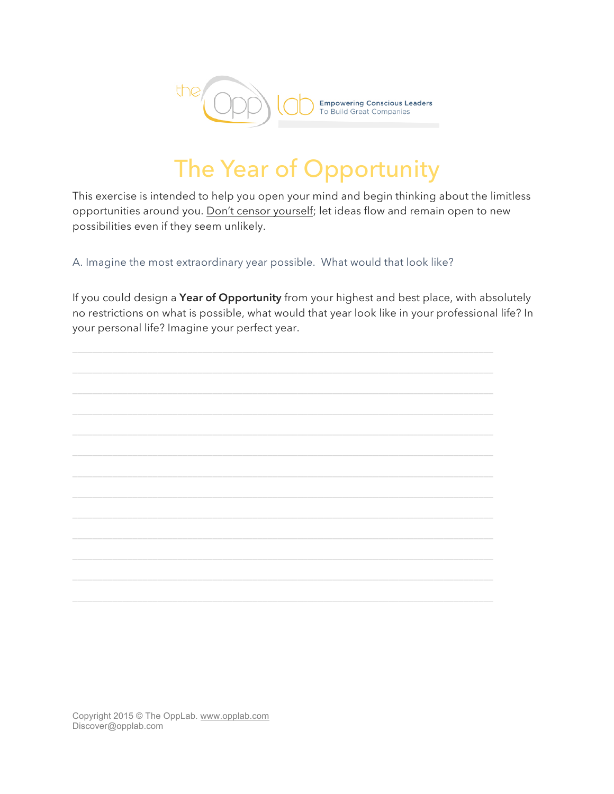

## The Year of Opportunity

This exercise is intended to help you open your mind and begin thinking about the limitless opportunities around you. Don't censor yourself; let ideas flow and remain open to new possibilities even if they seem unlikely.

A. Imagine the most extraordinary year possible. What would that look like?

If you could design a **Year of Opportunity** from your highest and best place, with absolutely no restrictions on what is possible, what would that year look like in your professional life? In your personal life? Imagine your perfect year.

 $\_$  , and the set of the set of the set of the set of the set of the set of the set of the set of the set of the set of the set of the set of the set of the set of the set of the set of the set of the set of the set of th

 $\_$  , and the set of the set of the set of the set of the set of the set of the set of the set of the set of the set of the set of the set of the set of the set of the set of the set of the set of the set of the set of th

 $\_$  , and the set of the set of the set of the set of the set of the set of the set of the set of the set of the set of the set of the set of the set of the set of the set of the set of the set of the set of the set of th